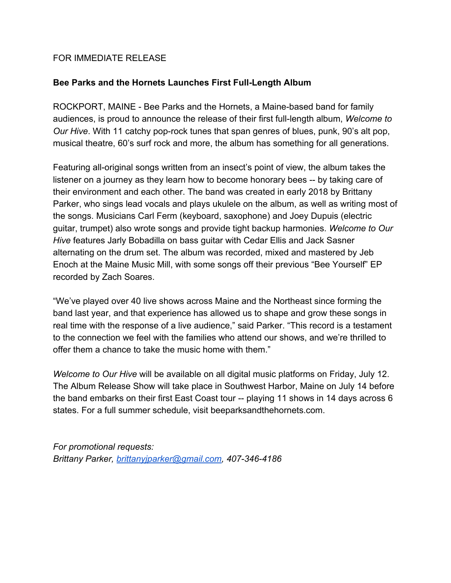## FOR IMMEDIATE RELEASE

## **Bee Parks and the Hornets Launches First Full-Length Album**

ROCKPORT, MAINE - Bee Parks and the Hornets, a Maine-based band for family audiences, is proud to announce the release of their first full-length album, *Welcome to Our Hive*. With 11 catchy pop-rock tunes that span genres of blues, punk, 90's alt pop, musical theatre, 60's surf rock and more, the album has something for all generations.

Featuring all-original songs written from an insect's point of view, the album takes the listener on a journey as they learn how to become honorary bees -- by taking care of their environment and each other. The band was created in early 2018 by Brittany Parker, who sings lead vocals and plays ukulele on the album, as well as writing most of the songs. Musicians Carl Ferm (keyboard, saxophone) and Joey Dupuis (electric guitar, trumpet) also wrote songs and provide tight backup harmonies. *Welcome to Our Hive* features Jarly Bobadilla on bass guitar with Cedar Ellis and Jack Sasner alternating on the drum set. The album was recorded, mixed and mastered by Jeb Enoch at the Maine Music Mill, with some songs off their previous "Bee Yourself" EP recorded by Zach Soares.

"We've played over 40 live shows across Maine and the Northeast since forming the band last year, and that experience has allowed us to shape and grow these songs in real time with the response of a live audience," said Parker. "This record is a testament to the connection we feel with the families who attend our shows, and we're thrilled to offer them a chance to take the music home with them."

*Welcome to Our Hive* will be available on all digital music platforms on Friday, July 12. The Album Release Show will take place in Southwest Harbor, Maine on July 14 before the band embarks on their first East Coast tour -- playing 11 shows in 14 days across 6 states. For a full summer schedule, visit beeparksandthehornets.com.

*For promotional requests: Brittany Parker, [brittanyjparker@gmail.com,](mailto:brittanyjparker@gmail.com) 407-346-4186*